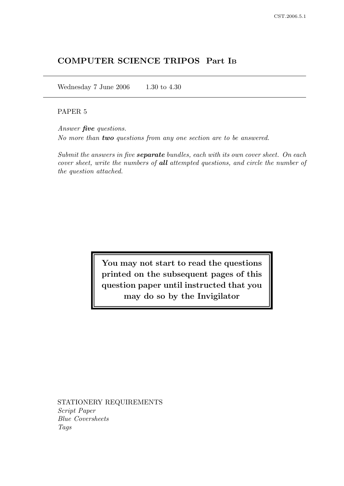# COMPUTER SCIENCE TRIPOS Part I<sup>B</sup>

Wednesday 7 June 2006 1.30 to 4.30

# PAPER 5

Answer **five** questions. No more than two questions from any one section are to be answered.

Submit the answers in five **separate** bundles, each with its own cover sheet. On each cover sheet, write the numbers of all attempted questions, and circle the number of the question attached.

> You may not start to read the questions printed on the subsequent pages of this question paper until instructed that you may do so by the Invigilator

STATIONERY REQUIREMENTS Script Paper Blue Coversheets Tags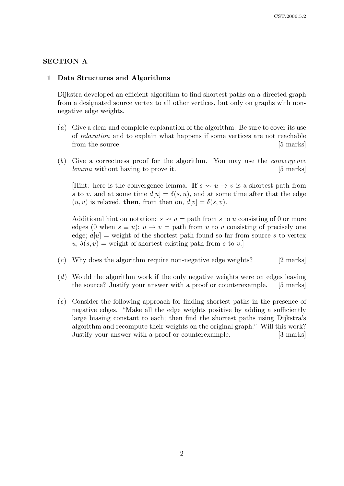### SECTION A

#### 1 Data Structures and Algorithms

Dijkstra developed an efficient algorithm to find shortest paths on a directed graph from a designated source vertex to all other vertices, but only on graphs with nonnegative edge weights.

- (a) Give a clear and complete explanation of the algorithm. Be sure to cover its use of relaxation and to explain what happens if some vertices are not reachable from the source. [5 marks]
- (b) Give a correctness proof for the algorithm. You may use the convergence lemma without having to prove it. [5 marks]

[Hint: here is the convergence lemma. If  $s \leadsto u \rightarrow v$  is a shortest path from s to v, and at some time  $d[u] = \delta(s, u)$ , and at some time after that the edge  $(u, v)$  is relaxed, then, from then on,  $d[v] = \delta(s, v)$ .

Additional hint on notation:  $s \rightarrow u =$  path from s to u consisting of 0 or more edges (0 when  $s \equiv u$ );  $u \rightarrow v =$  path from u to v consisting of precisely one edge;  $d[u]$  = weight of the shortest path found so far from source s to vertex  $u; \delta(s, v)$  = weight of shortest existing path from s to v.

- $(c)$  Why does the algorithm require non-negative edge weights? [2 marks]
- (d) Would the algorithm work if the only negative weights were on edges leaving the source? Justify your answer with a proof or counterexample. [5 marks]
- (e) Consider the following approach for finding shortest paths in the presence of negative edges. "Make all the edge weights positive by adding a sufficiently large biasing constant to each; then find the shortest paths using Dijkstra's algorithm and recompute their weights on the original graph." Will this work? Justify your answer with a proof or counterexample. [3 marks]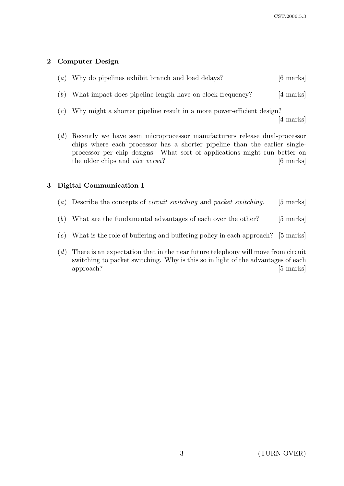# 2 Computer Design

| (a) Why do pipelines exhibit branch and load delays? | $[6 \text{ marks}]$ |
|------------------------------------------------------|---------------------|
|                                                      |                     |

- (b) What impact does pipeline length have on clock frequency? [4 marks]
- (c) Why might a shorter pipeline result in a more power-efficient design? [4 marks]
- (d) Recently we have seen microprocessor manufacturers release dual-processor chips where each processor has a shorter pipeline than the earlier singleprocessor per chip designs. What sort of applications might run better on the older chips and *vice versa*? [6 marks]

# 3 Digital Communication I

- (a) Describe the concepts of *circuit switching* and *packet switching*. [5 marks]
- $(b)$  What are the fundamental advantages of each over the other? [5 marks]
- $(c)$  What is the role of buffering and buffering policy in each approach? [5 marks]
- (d) There is an expectation that in the near future telephony will move from circuit switching to packet switching. Why is this so in light of the advantages of each approach? [5 marks]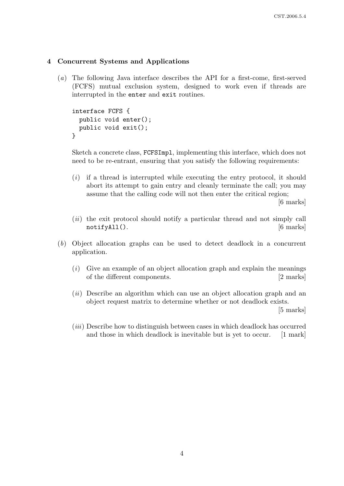### 4 Concurrent Systems and Applications

(a) The following Java interface describes the API for a first-come, first-served (FCFS) mutual exclusion system, designed to work even if threads are interrupted in the enter and exit routines.

```
interface FCFS {
  public void enter();
 public void exit();
}
```
Sketch a concrete class, FCFSImpl, implementing this interface, which does not need to be re-entrant, ensuring that you satisfy the following requirements:

- $(i)$  if a thread is interrupted while executing the entry protocol, it should abort its attempt to gain entry and cleanly terminate the call; you may assume that the calling code will not then enter the critical region; [6 marks]
- (*ii*) the exit protocol should notify a particular thread and not simply call notifyAll(). [6 marks]
- (b) Object allocation graphs can be used to detect deadlock in a concurrent application.
	- $(i)$  Give an example of an object allocation graph and explain the meanings of the different components. [2 marks]
	- (ii) Describe an algorithm which can use an object allocation graph and an object request matrix to determine whether or not deadlock exists. [5 marks]

(iii) Describe how to distinguish between cases in which deadlock has occurred and those in which deadlock is inevitable but is yet to occur. [1 mark]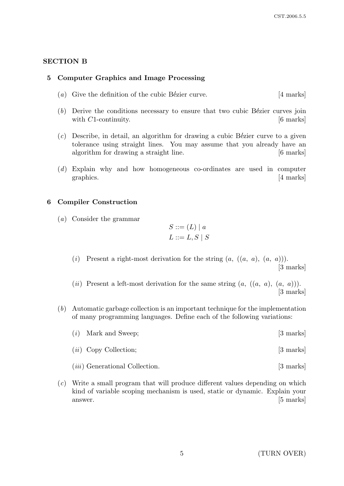# SECTION B

### 5 Computer Graphics and Image Processing

- (a) Give the definition of the cubic Bézier curve.  $[4 \text{ marks}]$
- $(b)$  Derive the conditions necessary to ensure that two cubic Bézier curves join with  $C1$ -continuity.  $[6 \text{ marks}]$
- $(c)$  Describe, in detail, an algorithm for drawing a cubic Bézier curve to a given tolerance using straight lines. You may assume that you already have an algorithm for drawing a straight line. [6 marks]
- (d) Explain why and how homogeneous co-ordinates are used in computer graphics. [4 marks]

#### 6 Compiler Construction

(a) Consider the grammar

$$
S ::= (L) | a
$$

$$
L ::= L, S | S
$$

- (i) Present a right-most derivation for the string  $(a, ((a, a), (a, a))).$ [3 marks]
- (*ii*) Present a left-most derivation for the same string  $(a, ((a, a), (a, a)))$ . [3 marks]
- (b) Automatic garbage collection is an important technique for the implementation of many programming languages. Define each of the following variations:

| $(i)$ Mark and Sweep; | [3 marks] |  |
|-----------------------|-----------|--|
|                       |           |  |

- (*ii*) Copy Collection; [3 marks]
- (*iii*) Generational Collection. [3 marks]
- (c) Write a small program that will produce different values depending on which kind of variable scoping mechanism is used, static or dynamic. Explain your answer. [5 marks]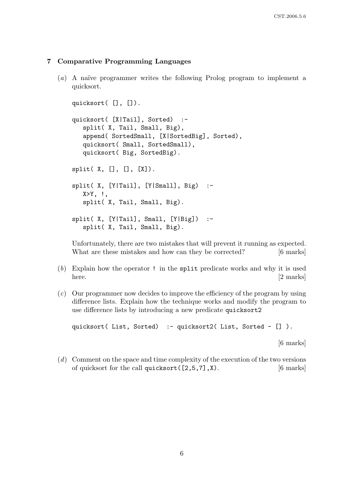# 7 Comparative Programming Languages

 $(a)$  A naïve programmer writes the following Prolog program to implement a quicksort.

```
quicksort( [], []).
quicksort( [X|Tail], Sorted) :-
   split( X, Tail, Small, Big),
   append( SortedSmall, [X|SortedBig], Sorted),
   quicksort( Small, SortedSmall),
   quicksort( Big, SortedBig).
split([X, [], [], [X]).split( X, [Y|Tail], [Y|Small], Big) :-
   X>Y, \vdotssplit( X, Tail, Small, Big).
split(X, [Y|Tail], Small, [Y|Big]) :-
   split( X, Tail, Small, Big).
```
Unfortunately, there are two mistakes that will prevent it running as expected. What are these mistakes and how can they be corrected? [6 marks]

- (b) Explain how the operator ! in the split predicate works and why it is used here. [2 marks]
- (c) Our programmer now decides to improve the efficiency of the program by using difference lists. Explain how the technique works and modify the program to use difference lists by introducing a new predicate quicksort2

quicksort( List, Sorted) :- quicksort2( List, Sorted - []).

[6 marks]

(d) Comment on the space and time complexity of the execution of the two versions of quicksort for the call quicksort  $(2,5,7]$ , X). [6 marks]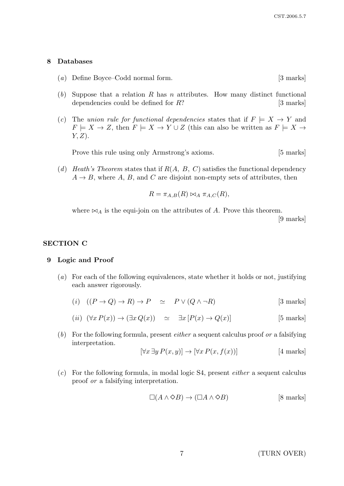#### 8 Databases

- (a) Define Boyce–Codd normal form. [3 marks]
- (b) Suppose that a relation R has n attributes. How many distinct functional dependencies could be defined for  $R$ ? [3 marks]
- (c) The union rule for functional dependencies states that if  $F \models X \rightarrow Y$  and  $F \models X \to Z$ , then  $F \models X \to Y \cup Z$  (this can also be written as  $F \models X \to Z$  $Y, Z$ ).

Prove this rule using only Armstrong's axioms. [5 marks]

(d) Heath's Theorem states that if  $R(A, B, C)$  satisfies the functional dependency  $A \rightarrow B$ , where A, B, and C are disjoint non-empty sets of attributes, then

$$
R = \pi_{A,B}(R) \bowtie_A \pi_{A,C}(R),
$$

where  $\bowtie_A$  is the equi-join on the attributes of A. Prove this theorem.

[9 marks]

# SECTION C

#### 9 Logic and Proof

- (a) For each of the following equivalences, state whether it holds or not, justifying each answer rigorously.
	- (i)  $((P \rightarrow Q) \rightarrow R) \rightarrow P \simeq P \vee (Q \wedge \neg R)$  [3 marks]

$$
(ii) \ (\forall x P(x)) \to (\exists x Q(x)) \simeq \exists x [P(x) \to Q(x)] \tag{5 marks}
$$

(b) For the following formula, present *either* a sequent calculus proof or a falsifying interpretation.

$$
[\forall x \exists y P(x, y)] \rightarrow [\forall x P(x, f(x))]
$$
 [4 marks]

 $(c)$  For the following formula, in modal logic S4, present *either* a sequent calculus proof or a falsifying interpretation.

$$
\Box(A \land \Diamond B) \to (\Box A \land \Diamond B) \qquad [8 \text{ marks}]
$$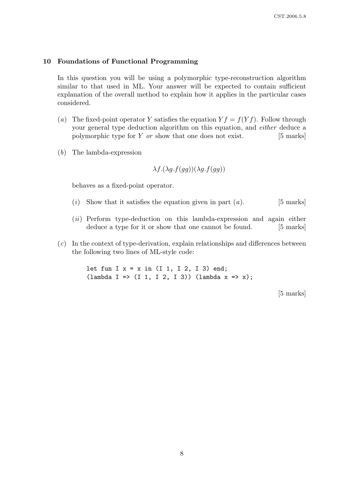#### 10 Foundations of Functional Programming

In this question you will be using a polymorphic type-reconstruction algorithm similar to that used in ML. Your answer will be expected to contain sufficient explanation of the overall method to explain how it applies in the particular cases considered.

- (a) The fixed-point operator Y satisfies the equation  $Y f = f(Y f)$ . Follow through your general type deduction algorithm on this equation, and either deduce a polymorphic type for  $Y$  *or* show that one does not exist.  $[5 \text{ marks}]$
- (b) The lambda-expression

$$
\lambda f.(\lambda g.f(gg))(\lambda g.f(gg))
$$

behaves as a fixed-point operator.

- (i) Show that it satisfies the equation given in part  $(a)$ . [5 marks]
- (ii) Perform type-deduction on this lambda-expression and again either deduce a type for it or show that one cannot be found. [5 marks]
- (c) In the context of type-derivation, explain relationships and differences between the following two lines of ML-style code:

let fun I  $x = x$  in (I 1, I 2, I 3) end;  $(lambda I \implies (I 1, I 2, I 3))$   $(lambda x \implies x);$ 

[5 marks]